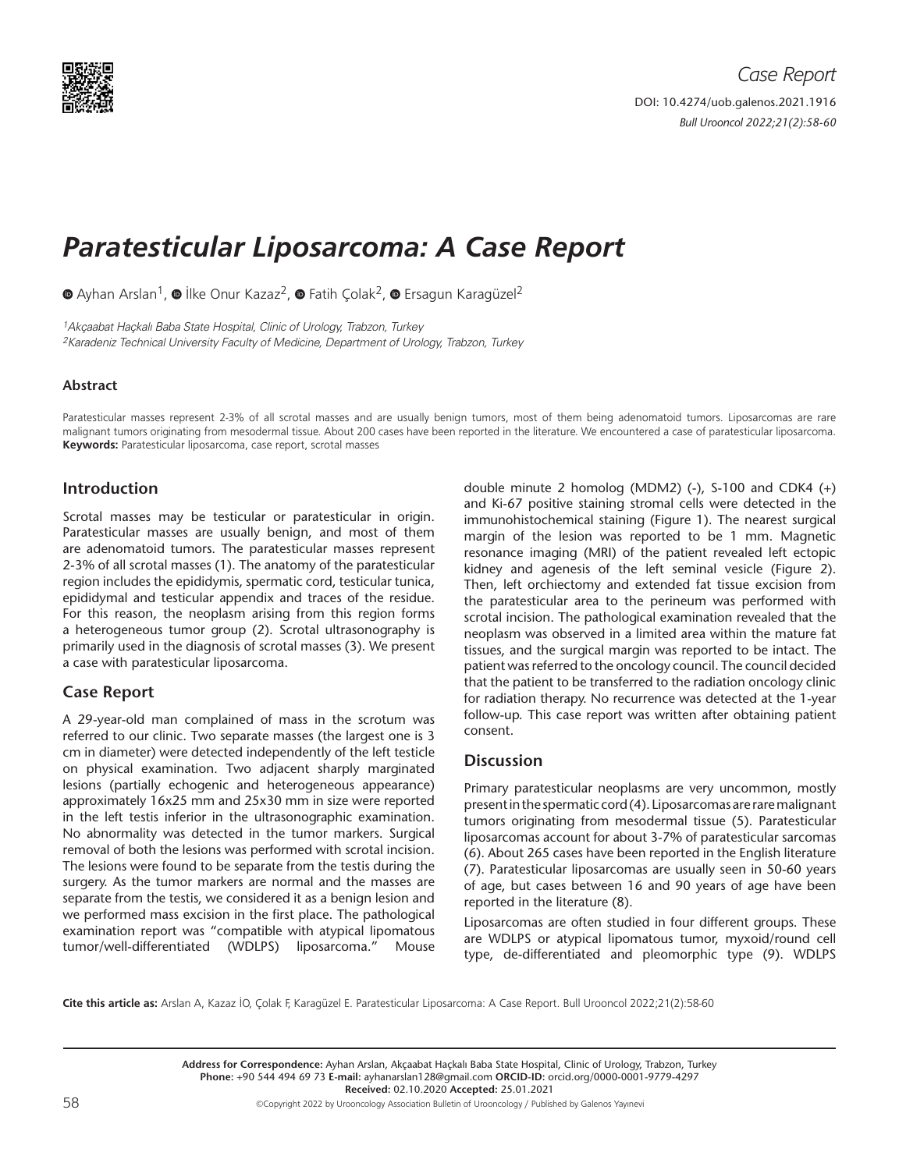

# *Paratesticular Liposarcoma: A Case Report*

 $\bullet$ Ayhan Arslan<sup>1</sup>,  $\bullet$  İlke Onur Kazaz<sup>2</sup>,  $\bullet$  Fatih Çolak<sup>2</sup>,  $\bullet$  Ersagun Karagüzel<sup>2</sup>

1Akçaabat Haçkalı Baba State Hospital, Clinic of Urology, Trabzon, Turkey 2Karadeniz Technical University Faculty of Medicine, Department of Urology, Trabzon, Turkey

### **Abstract**

Paratesticular masses represent 2-3% of all scrotal masses and are usually benign tumors, most of them being adenomatoid tumors. Liposarcomas are rare malignant tumors originating from mesodermal tissue. About 200 cases have been reported in the literature. We encountered a case of paratesticular liposarcoma. **Keywords:** Paratesticular liposarcoma, case report, scrotal masses

# **Introduction**

Scrotal masses may be testicular or paratesticular in origin. Paratesticular masses are usually benign, and most of them are adenomatoid tumors. The paratesticular masses represent 2-3% of all scrotal masses (1). The anatomy of the paratesticular region includes the epididymis, spermatic cord, testicular tunica, epididymal and testicular appendix and traces of the residue. For this reason, the neoplasm arising from this region forms a heterogeneous tumor group (2). Scrotal ultrasonography is primarily used in the diagnosis of scrotal masses (3). We present a case with paratesticular liposarcoma.

# **Case Report**

A 29-year-old man complained of mass in the scrotum was referred to our clinic. Two separate masses (the largest one is 3 cm in diameter) were detected independently of the left testicle on physical examination. Two adjacent sharply marginated lesions (partially echogenic and heterogeneous appearance) approximately 16x25 mm and 25x30 mm in size were reported in the left testis inferior in the ultrasonographic examination. No abnormality was detected in the tumor markers. Surgical removal of both the lesions was performed with scrotal incision. The lesions were found to be separate from the testis during the surgery. As the tumor markers are normal and the masses are separate from the testis, we considered it as a benign lesion and we performed mass excision in the first place. The pathological examination report was "compatible with atypical lipomatous tumor/well-differentiated (WDLPS) liposarcoma." Mouse

double minute 2 homolog (MDM2) (-), S-100 and CDK4 (+) and Ki-67 positive staining stromal cells were detected in the immunohistochemical staining (Figure 1). The nearest surgical margin of the lesion was reported to be 1 mm. Magnetic resonance imaging (MRI) of the patient revealed left ectopic kidney and agenesis of the left seminal vesicle (Figure 2). Then, left orchiectomy and extended fat tissue excision from the paratesticular area to the perineum was performed with scrotal incision. The pathological examination revealed that the neoplasm was observed in a limited area within the mature fat tissues, and the surgical margin was reported to be intact. The patient was referred to the oncology council. The council decided that the patient to be transferred to the radiation oncology clinic for radiation therapy. No recurrence was detected at the 1-year follow-up. This case report was written after obtaining patient consent.

## **Discussion**

Primary paratesticular neoplasms are very uncommon, mostly present in the spermatic cord (4). Liposarcomas are rare malignant tumors originating from mesodermal tissue (5). Paratesticular liposarcomas account for about 3-7% of paratesticular sarcomas (6). About 265 cases have been reported in the English literature (7). Paratesticular liposarcomas are usually seen in 50-60 years of age, but cases between 16 and 90 years of age have been reported in the literature (8).

Liposarcomas are often studied in four different groups. These are WDLPS or atypical lipomatous tumor, myxoid/round cell type, de-differentiated and pleomorphic type (9). WDLPS

**Cite this article as:** Arslan A, Kazaz İO, Çolak F, Karagüzel E. Paratesticular Liposarcoma: A Case Report. Bull Urooncol 2022;21(2):58-60

**Address for Correspondence:** Ayhan Arslan, Akçaabat Haçkalı Baba State Hospital, Clinic of Urology, Trabzon, Turkey **Phone:** +90 544 494 69 73 **E-mail:** ayhanarslan128@gmail.com **ORCID-ID:** orcid.org/0000-0001-9779-4297 **Received:** 02.10.2020 **Accepted:** 25.01.2021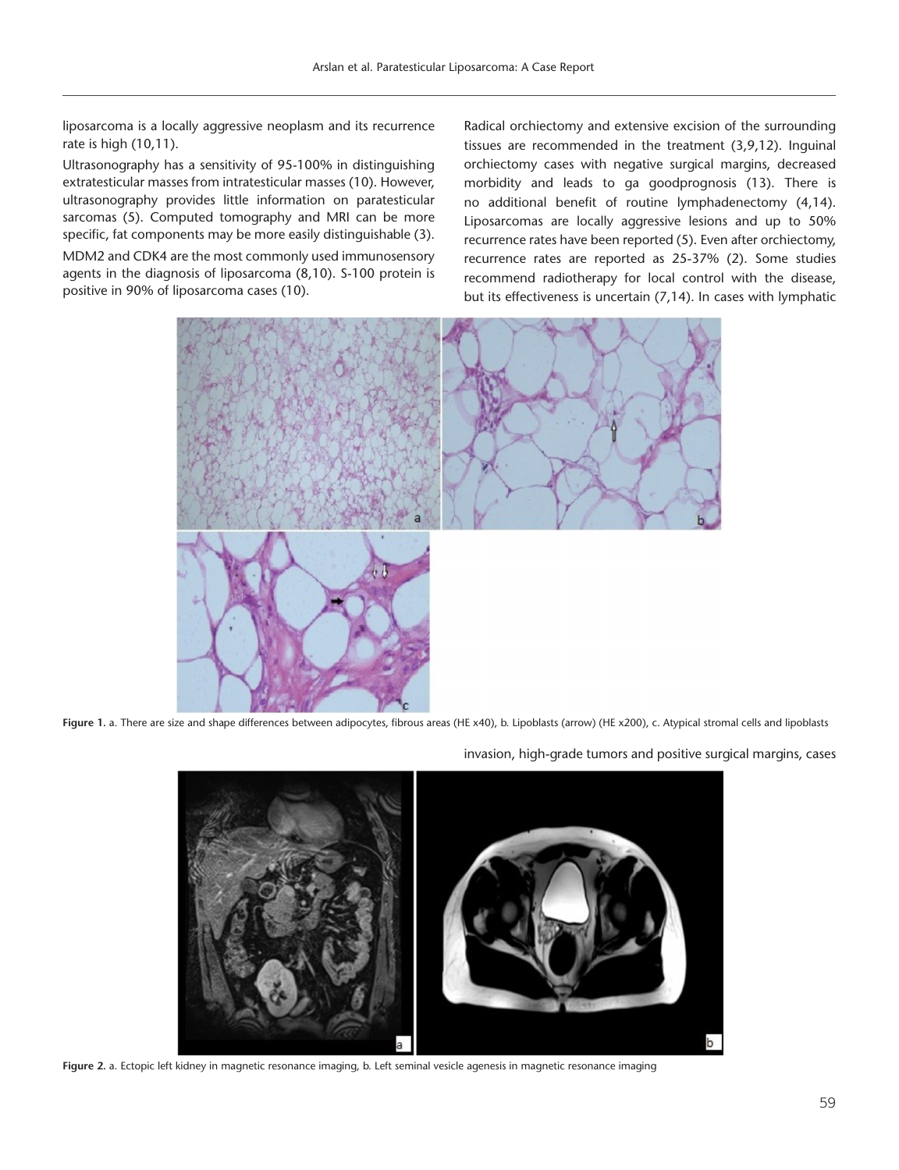liposarcoma is a locally aggressive neoplasm and its recurrence rate is high (10,11).

Ultrasonography has a sensitivity of 95-100% in distinguishing extratesticular masses from intratesticular masses (10). However, ultrasonography provides little information on paratesticular sarcomas (5). Computed tomography and MRI can be more specific, fat components may be more easily distinguishable (3).

MDM2 and CDK4 are the most commonly used immunosensory agents in the diagnosis of liposarcoma (8,10). S-100 protein is positive in 90% of liposarcoma cases (10).

Radical orchiectomy and extensive excision of the surrounding tissues are recommended in the treatment (3,9,12). Inguinal orchiectomy cases with negative surgical margins, decreased morbidity and leads to ga goodprognosis (13). There is no additional benefit of routine lymphadenectomy (4,14). Liposarcomas are locally aggressive lesions and up to 50% recurrence rates have been reported (5). Even after orchiectomy, recurrence rates are reported as 25-37% (2). Some studies recommend radiotherapy for local control with the disease, but its effectiveness is uncertain (7,14). In cases with lymphatic



Figure 1. a. There are size and shape differences between adipocytes, fibrous areas (HE x40), b. Lipoblasts (arrow) (HE x200), c. Atypical stromal cells and lipoblasts



**Figure 2.** a. Ectopic left kidney in magnetic resonance imaging, b. Left seminal vesicle agenesis in magnetic resonance imaging

invasion, high-grade tumors and positive surgical margins, cases